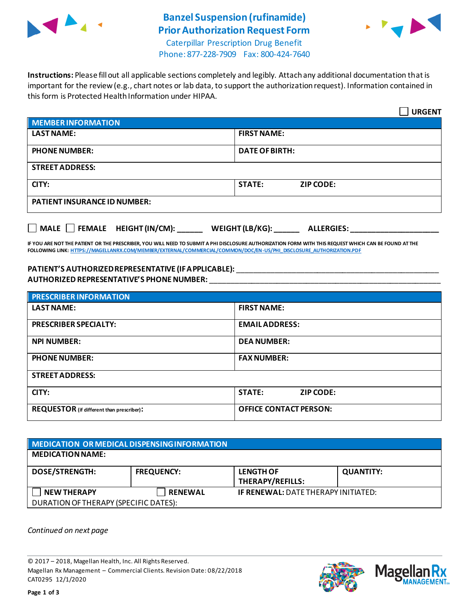

## **Banzel Suspension (rufinamide) Prior Authorization Request Form**



Caterpillar Prescription Drug Benefit Phone: 877-228-7909 Fax: 800-424-7640

**Instructions:** Please fill out all applicable sections completely and legibly. Attach any additional documentation that is important for the review (e.g., chart notes or lab data, to support the authorization request). Information contained in this form is Protected Health Information under HIPAA.

|                                                                            | <b>URGENT</b>                     |  |  |
|----------------------------------------------------------------------------|-----------------------------------|--|--|
| <b>MEMBER INFORMATION</b>                                                  |                                   |  |  |
| <b>LAST NAME:</b>                                                          | <b>FIRST NAME:</b>                |  |  |
| <b>PHONE NUMBER:</b>                                                       | <b>DATE OF BIRTH:</b>             |  |  |
| <b>STREET ADDRESS:</b>                                                     |                                   |  |  |
| CITY:                                                                      | <b>STATE:</b><br><b>ZIP CODE:</b> |  |  |
| <b>PATIENT INSURANCE ID NUMBER:</b>                                        |                                   |  |  |
| MALE $\Box$ FEMALE HEIGHT (IN/CM):<br>WEIGHT (LB/KG):<br><b>ALLERGIES:</b> |                                   |  |  |

**IF YOU ARE NOT THE PATIENT OR THE PRESCRIBER, YOU WILL NEED TO SUBMIT A PHI DISCLOSURE AUTHORIZATION FORM WITH THIS REQUEST WHICH CAN BE FOUND AT THE FOLLOWING LINK[: HTTPS://MAGELLANRX.COM/MEMBER/EXTERNAL/COMMERCIAL/COMMON/DOC/EN-US/PHI\\_DISCLOSURE\\_AUTHORIZATION.PDF](https://magellanrx.com/member/external/commercial/common/doc/en-us/PHI_Disclosure_Authorization.pdf)**

#### **PATIENT'S AUTHORIZED REPRESENTATIVE (IF APPLICABLE):** \_\_\_\_\_\_\_\_\_\_\_\_\_\_\_\_\_\_\_\_\_\_\_\_\_\_\_\_\_\_\_\_\_\_\_\_\_\_\_\_\_\_\_\_\_\_\_\_ **AUTHORIZED REPRESENTATIVE'S PHONE NUMBER:** \_\_\_\_\_\_\_\_\_\_\_\_\_\_\_\_\_\_\_\_\_\_\_\_\_\_\_\_\_\_\_\_\_\_\_\_\_\_\_\_\_\_\_\_\_\_\_\_\_\_\_\_\_\_\_

| <b>PRESCRIBER INFORMATION</b>             |                               |  |
|-------------------------------------------|-------------------------------|--|
| <b>LAST NAME:</b>                         | <b>FIRST NAME:</b>            |  |
| <b>PRESCRIBER SPECIALTY:</b>              | <b>EMAIL ADDRESS:</b>         |  |
| <b>NPI NUMBER:</b>                        | <b>DEA NUMBER:</b>            |  |
| <b>PHONE NUMBER:</b>                      | <b>FAX NUMBER:</b>            |  |
| <b>STREET ADDRESS:</b>                    |                               |  |
| CITY:                                     | <b>STATE:</b><br>ZIP CODE:    |  |
| REQUESTOR (if different than prescriber): | <b>OFFICE CONTACT PERSON:</b> |  |

| MEDICATION OR MEDICAL DISPENSING INFORMATION |                   |                                             |                  |  |  |
|----------------------------------------------|-------------------|---------------------------------------------|------------------|--|--|
| <b>MEDICATION NAME:</b>                      |                   |                                             |                  |  |  |
| <b>DOSE/STRENGTH:</b>                        | <b>FREQUENCY:</b> | <b>LENGTH OF</b><br><b>THERAPY/REFILLS:</b> | <b>QUANTITY:</b> |  |  |
| <b>NEW THERAPY</b>                           | <b>RENEWAL</b>    | <b>IF RENEWAL: DATE THERAPY INITIATED:</b>  |                  |  |  |
| DURATION OF THERAPY (SPECIFIC DATES):        |                   |                                             |                  |  |  |

*Continued on next page*

© 2017 – 2018, Magellan Health, Inc. All Rights Reserved. Magellan Rx Management – Commercial Clients. Revision Date: 08/22/2018 CAT0295 12/1/2020



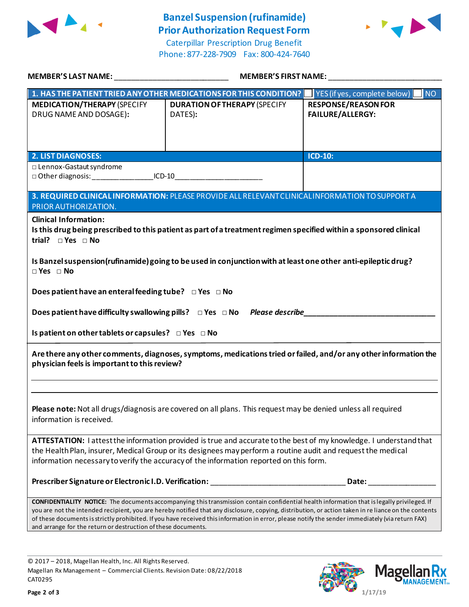

### **Banzel Suspension (rufinamide) Prior Authorization Request Form**

Caterpillar Prescription Drug Benefit Phone: 877-228-7909 Fax: 800-424-7640



| MEMBER'S LAST NAME: NAME AND A SERIES AND A STRING OF THE STRING OF THE STRING OF THE STRING OF THE STRING OF                                                                                                                                                                                                                | <b>MEMBER'S FIRST NAME:</b>                                                                                                                                                                                                                                                                                                                                                                                                                             |                                                       |  |  |
|------------------------------------------------------------------------------------------------------------------------------------------------------------------------------------------------------------------------------------------------------------------------------------------------------------------------------|---------------------------------------------------------------------------------------------------------------------------------------------------------------------------------------------------------------------------------------------------------------------------------------------------------------------------------------------------------------------------------------------------------------------------------------------------------|-------------------------------------------------------|--|--|
|                                                                                                                                                                                                                                                                                                                              | 1. HAS THE PATIENT TRIED ANY OTHER MEDICATIONS FOR THIS CONDITION?   YES (if yes, complete below)                                                                                                                                                                                                                                                                                                                                                       | $\blacksquare$ NO                                     |  |  |
| <b>MEDICATION/THERAPY (SPECIFY</b><br>DRUG NAME AND DOSAGE):                                                                                                                                                                                                                                                                 | <b>DURATION OF THERAPY (SPECIFY</b><br>DATES):                                                                                                                                                                                                                                                                                                                                                                                                          | <b>RESPONSE/REASON FOR</b><br><b>FAILURE/ALLERGY:</b> |  |  |
| <b>2. LIST DIAGNOSES:</b>                                                                                                                                                                                                                                                                                                    |                                                                                                                                                                                                                                                                                                                                                                                                                                                         | ICD-10:                                               |  |  |
| □ Lennox-Gastaut syndrome<br>□ Other diagnosis: ___________________ICD-10___________________________________                                                                                                                                                                                                                 |                                                                                                                                                                                                                                                                                                                                                                                                                                                         |                                                       |  |  |
| 3. REQUIRED CLINICAL INFORMATION: PLEASE PROVIDE ALL RELEVANT CLINICAL INFORMATION TO SUPPORT A<br>PRIOR AUTHORIZATION.                                                                                                                                                                                                      |                                                                                                                                                                                                                                                                                                                                                                                                                                                         |                                                       |  |  |
| <b>Clinical Information:</b><br>trial? $\square$ Yes $\square$ No                                                                                                                                                                                                                                                            | Is this drug being prescribed to this patient as part of a treatment regimen specified within a sponsored clinical                                                                                                                                                                                                                                                                                                                                      |                                                       |  |  |
| Is Banzel suspension (rufinamide) going to be used in conjunction with at least one other anti-epileptic drug?<br>$\Box$ Yes $\Box$ No                                                                                                                                                                                       |                                                                                                                                                                                                                                                                                                                                                                                                                                                         |                                                       |  |  |
| Does patient have an enteral feeding tube? $\Box$ Yes $\Box$ No                                                                                                                                                                                                                                                              |                                                                                                                                                                                                                                                                                                                                                                                                                                                         |                                                       |  |  |
|                                                                                                                                                                                                                                                                                                                              |                                                                                                                                                                                                                                                                                                                                                                                                                                                         |                                                       |  |  |
| Is patient on other tablets or capsules? $\Box$ Yes $\Box$ No                                                                                                                                                                                                                                                                |                                                                                                                                                                                                                                                                                                                                                                                                                                                         |                                                       |  |  |
| Are there any other comments, diagnoses, symptoms, medications tried or failed, and/or any other information the<br>physician feels is important to this review?                                                                                                                                                             |                                                                                                                                                                                                                                                                                                                                                                                                                                                         |                                                       |  |  |
|                                                                                                                                                                                                                                                                                                                              |                                                                                                                                                                                                                                                                                                                                                                                                                                                         |                                                       |  |  |
| Please note: Not all drugs/diagnosis are covered on all plans. This request may be denied unless all required<br>information is received.                                                                                                                                                                                    |                                                                                                                                                                                                                                                                                                                                                                                                                                                         |                                                       |  |  |
| ATTESTATION: I attest the information provided is true and accurate to the best of my knowledge. I understand that<br>the Health Plan, insurer, Medical Group or its designees may perform a routine audit and request the medical<br>information necessary to verify the accuracy of the information reported on this form. |                                                                                                                                                                                                                                                                                                                                                                                                                                                         |                                                       |  |  |
|                                                                                                                                                                                                                                                                                                                              | Prescriber Signature or Electronic I.D. Verification: __________________________                                                                                                                                                                                                                                                                                                                                                                        | Date:                                                 |  |  |
| and arrange for the return or destruction of these documents.                                                                                                                                                                                                                                                                | CONFIDENTIALITY NOTICE: The documents accompanying this transmission contain confidential health information that is legally privileged. If<br>you are not the intended recipient, you are hereby notified that any disclosure, copying, distribution, or action taken in re liance on the contents<br>of these documents is strictly prohibited. If you have received this information in error, please notify the sender immediately (via return FAX) |                                                       |  |  |

© 2017 – 2018, Magellan Health, Inc. All Rights Reserved. Magellan Rx Management – Commercial Clients. Revision Date: 08/22/2018 CAT0295